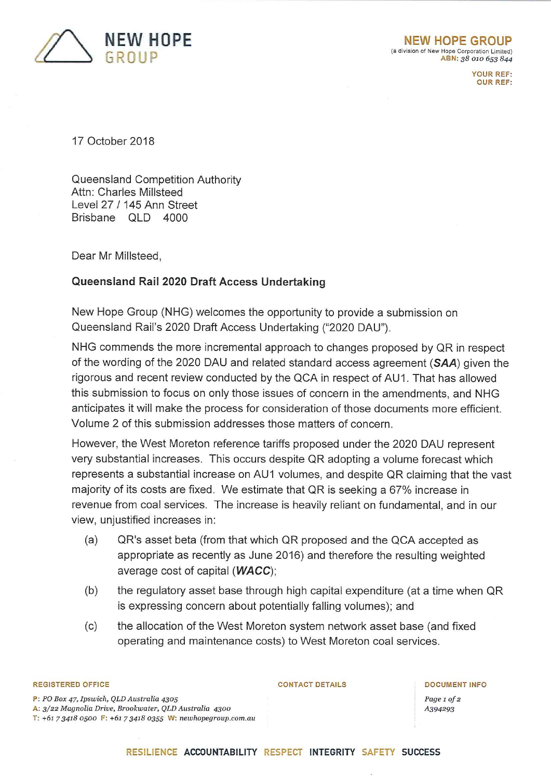

YOUR REF: OUR REF:

17 October 2018

Queensland Competition Authority Attn: Charles Millsteed Level 27 /145 Ann Street Brisbane OLD 4000

Dear Mr Millsteed,

# **Queensland Rail 2020 Draft Access Undertaking**

New Hope Group (NHG) welcomes the opportunity to provide a submission on Queensland Rail's 2020 Draft Access Undertaking ("2020 DAU").

NHG commends the more incremental approach to changes proposed by QR in respect of the wording of the 2020 DAU and related standard access agreement *(SAA)* given the rigorous and recent review conducted by the QCA in respect of AU1. That has allowed this submission to focus on only those issues of concern in the amendments, and NHG anticipates it will make the process for consideration of those documents more efficient. Volume 2 of this submission addresses those matters of concern.

However, the West Moreton reference tariffs proposed under the 2020 DAU represent very substantial increases. This occurs despite QR adopting a volume forecast which represents a substantial increase on AU1 volumes, and despite QR claiming that the vast majority of its costs are fixed. We estimate that QR is seeking a 67% increase in revenue from coal services. The increase is heavily reliant on fundamental, and in our view, unjustified increases in:

- QR's asset beta (from that which QR proposed and the QCA accepted as appropriate as recently as June 2016) and therefore the resulting weighted average cost of capital *{WACC),*  (a)
- the regulatory asset base through high capital expenditure (at a time when QR is expressing concern about potentially falling volumes); and (b)
- the allocation of the West Moreton system network asset base (and fixed operating and maintenance costs) to West Moreton coal services. (c)

## REGISTERED OFFICE

P: *FO Box 47, Ipswich, QLD Australia 4305*  A: *3/22 Magnolia Drive, Brookwater, QLD Australia 4300*  T: *+61 7 3418 0500* F: +61 *734\*8 0355* W: *neiuhopegroup.com.au*  CONTACT DETAILS DOCUMENT INFO

*Page 1 of 2 A394293*